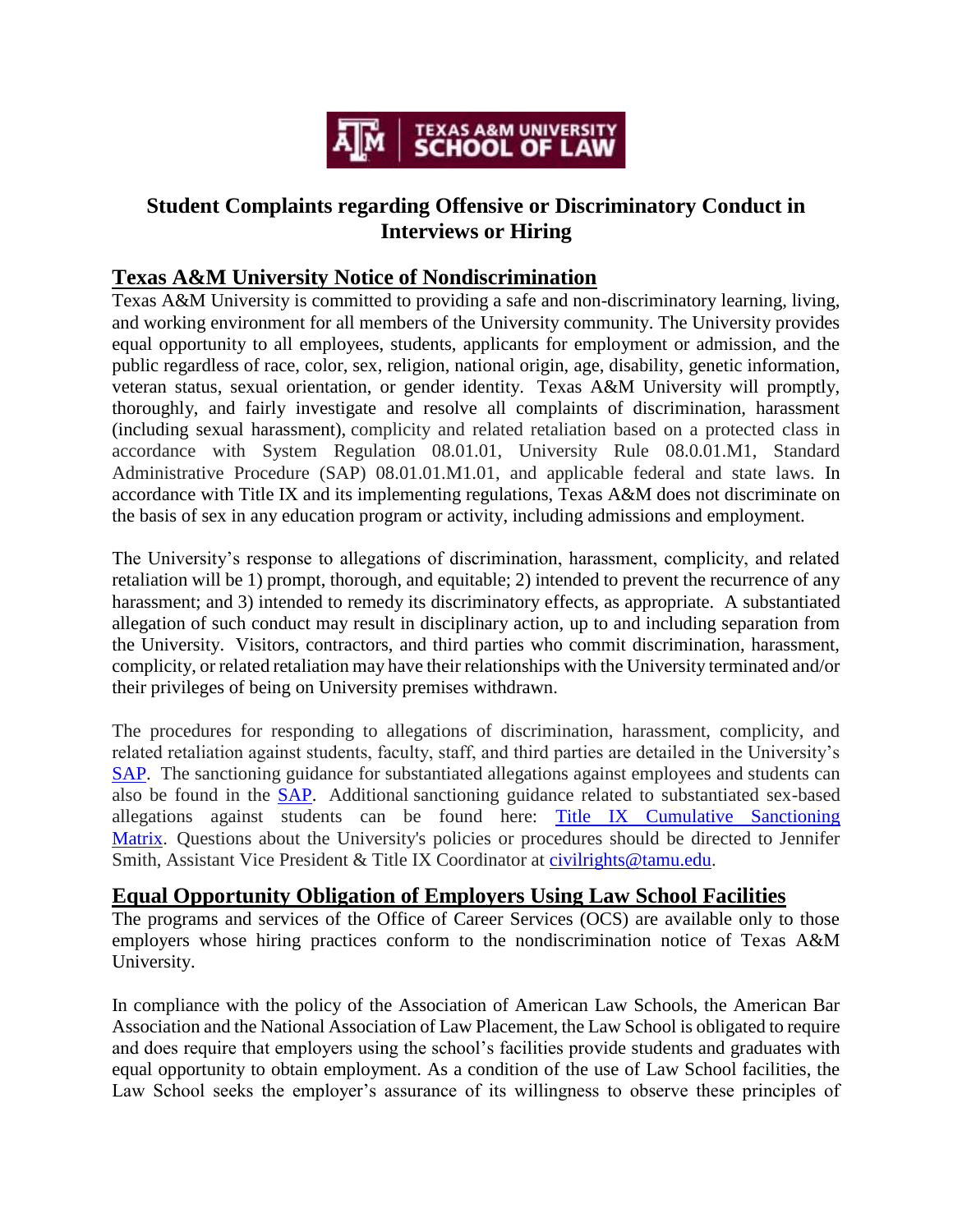

# **Student Complaints regarding Offensive or Discriminatory Conduct in Interviews or Hiring**

## **Texas A&M University Notice of Nondiscrimination**

Texas A&M University is committed to providing a safe and non-discriminatory learning, living, and working environment for all members of the University community. The University provides equal opportunity to all employees, students, applicants for employment or admission, and the public regardless of race, color, sex, religion, national origin, age, disability, genetic information, veteran status, sexual orientation, or gender identity. Texas A&M University will promptly, thoroughly, and fairly investigate and resolve all complaints of discrimination, harassment (including sexual harassment), complicity and related retaliation based on a protected class in accordance with System Regulation 08.01.01, University Rule 08.0.01.M1, Standard Administrative Procedure (SAP) 08.01.01.M1.01, and applicable federal and state laws. In accordance with Title IX and its implementing regulations, Texas A&M does not discriminate on the basis of sex in any education program or activity, including admissions and employment.

The University's response to allegations of discrimination, harassment, complicity, and related retaliation will be 1) prompt, thorough, and equitable; 2) intended to prevent the recurrence of any harassment; and 3) intended to remedy its discriminatory effects, as appropriate. A substantiated allegation of such conduct may result in disciplinary action, up to and including separation from the University. Visitors, contractors, and third parties who commit discrimination, harassment, complicity, or related retaliation may have their relationships with the University terminated and/or their privileges of being on University premises withdrawn.

The procedures for responding to allegations of discrimination, harassment, complicity, and related retaliation against students, faculty, staff, and third parties are detailed in the University's [SAP.](http://trk.tamu.edu/trk/click?ref=ztotana6v_3-3aebrbu-30-d9b4x311590x021080&) The sanctioning guidance for substantiated allegations against employees and students can also be found in the [SAP.](http://trk.tamu.edu/trk/click?ref=ztotana6v_3-3aebrbu-30-d9b4x311591x021080&) Additional sanctioning guidance related to substantiated sex-based allegations against students can be found here: [Title IX Cumulative Sanctioning](http://trk.tamu.edu/trk/click?ref=ztotana6v_3-3aebrbu-30-d9b4x311592x021080&)  [Matrix.](http://trk.tamu.edu/trk/click?ref=ztotana6v_3-3aebrbu-30-d9b4x311592x021080&) Questions about the University's policies or procedures should be directed to Jennifer Smith, Assistant Vice President & Title IX Coordinator at [civilrights@tamu.edu.](mailto:civilrights@tamu.edu)

### **Equal Opportunity Obligation of Employers Using Law School Facilities**

The programs and services of the Office of Career Services (OCS) are available only to those employers whose hiring practices conform to the nondiscrimination notice of Texas A&M University.

In compliance with the policy of the Association of American Law Schools, the American Bar Association and the National Association of Law Placement, the Law School is obligated to require and does require that employers using the school's facilities provide students and graduates with equal opportunity to obtain employment. As a condition of the use of Law School facilities, the Law School seeks the employer's assurance of its willingness to observe these principles of